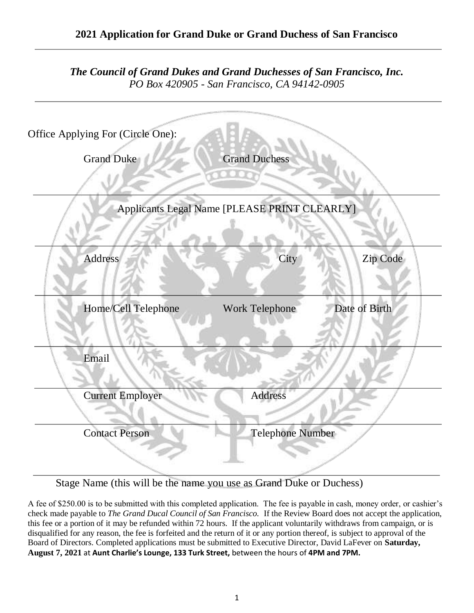| The Council of Grand Dukes and Grand Duchesses of San Francisco, Inc.<br>PO Box 420905 - San Francisco, CA 94142-0905 |                                              |               |
|-----------------------------------------------------------------------------------------------------------------------|----------------------------------------------|---------------|
| Office Applying For (Circle One):                                                                                     |                                              |               |
| <b>Grand Duke</b>                                                                                                     | <b>Grand Duchess</b>                         |               |
|                                                                                                                       | Applicants Legal Name [PLEASE PRINT CLEARLY] |               |
| Address                                                                                                               | City                                         | Zip Code      |
| Home/Cell Telephone                                                                                                   | Work Telephone                               | Date of Birth |
| Email                                                                                                                 |                                              |               |
| <b>Current Employer</b>                                                                                               | Address                                      |               |
| <b>Contact Person</b>                                                                                                 | <b>Telephone Number</b>                      |               |

Stage Name (this will be the name you use as Grand Duke or Duchess)

A fee of \$250.00 is to be submitted with this completed application. The fee is payable in cash, money order, or cashier's check made payable to *The Grand Ducal Council of San Francisco.* If the Review Board does not accept the application, this fee or a portion of it may be refunded within 72 hours. If the applicant voluntarily withdraws from campaign, or is disqualified for any reason, the fee is forfeited and the return of it or any portion thereof, is subject to approval of the Board of Directors. Completed applications must be submitted to Executive Director, David LaFever on **Saturday, August 7, 2021** at **Aunt Charlie's Lounge, 133 Turk Street,** between the hours of **4PM and 7PM.**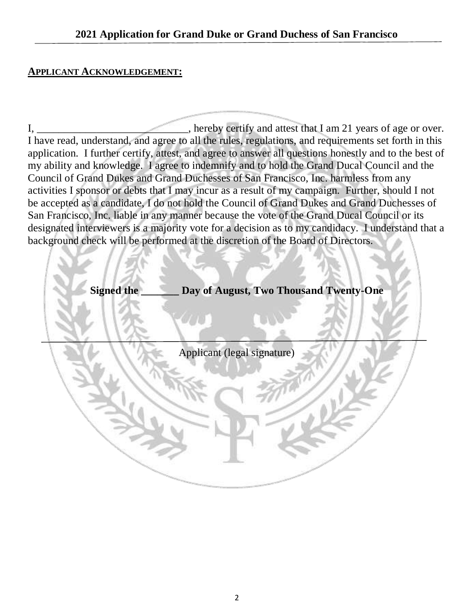### **APPLICANT ACKNOWLEDGEMENT:**

I, hereby certify and attest that I am 21 years of age or over. I have read, understand, and agree to all the rules, regulations, and requirements set forth in this application. I further certify, attest, and agree to answer all questions honestly and to the best of my ability and knowledge. I agree to indemnify and to hold the Grand Ducal Council and the Council of Grand Dukes and Grand Duchesses of San Francisco, Inc. harmless from any activities I sponsor or debts that I may incur as a result of my campaign. Further, should I not be accepted as a candidate, I do not hold the Council of Grand Dukes and Grand Duchesses of San Francisco, Inc. liable in any manner because the vote of the Grand Ducal Council or its designated interviewers is a majority vote for a decision as to my candidacy. I understand that a background check will be performed at the discretion of the Board of Directors.

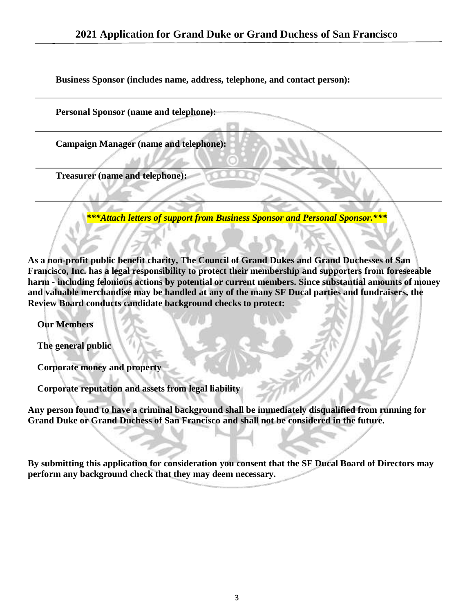**Business Sponsor (includes name, address, telephone, and contact person):**

**Personal Sponsor (name and telephone):**

**Campaign Manager (name and telephone):**

**Treasurer (name and telephone):**

*\*\*\*Attach letters of support from Business Sponsor and Personal Sponsor.\*\*\**

**As a non-profit public benefit charity, The Council of Grand Dukes and Grand Duchesses of San Francisco, Inc. has a legal responsibility to protect their membership and supporters from foreseeable harm - including felonious actions by potential or current members. Since substantial amounts of money and valuable merchandise may be handled at any of the many SF Ducal parties and fundraisers, the Review Board conducts candidate background checks to protect:**

 **Our Members**

 **The general public**

 **Corporate money and property**

 **Corporate reputation and assets from legal liability**

**Any person found to have a criminal background shall be immediately disqualified from running for Grand Duke or Grand Duchess of San Francisco and shall not be considered in the future.**

**By submitting this application for consideration you consent that the SF Ducal Board of Directors may perform any background check that they may deem necessary.**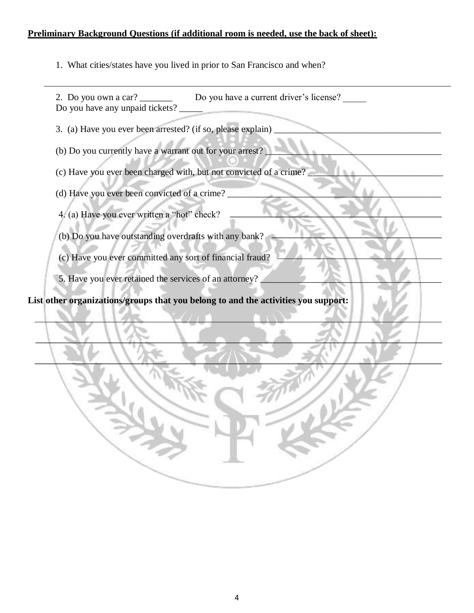#### **Preliminary Background Questions (if additional room is needed, use the back of sheet):**

1. What cities/states have you lived in prior to San Francisco and when?

2. Do you own a car? \_\_\_\_\_\_\_\_ Do you have a current driver's license? Do you have any unpaid tickets?

3. (a) Have you ever been arrested? (if so, please explain)

(b) Do you currently have a warrant out for your arrest?

(c) Have you ever been charged with, but not convicted of a crime?

(d) Have you ever been convicted of a crime?

4. (a) Have you ever written a "hot" check?

(b) Do you have outstanding overdrafts with any bank?

(c) Have you ever committed any sort of financial fraud?

5. Have you ever retained the services of an attorney?

**List other organizations/groups that you belong to and the activities you support:**

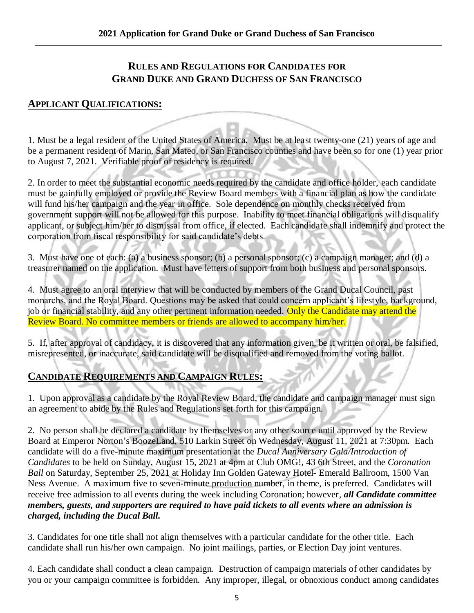### **RULES AND REGULATIONS FOR CANDIDATES FOR GRAND DUKE AND GRAND DUCHESS OF SAN FRANCISCO**

#### **APPLICANT QUALIFICATIONS:**

1. Must be a legal resident of the United States of America. Must be at least twenty-one (21) years of age and be a permanent resident of Marin, San Mateo, or San Francisco counties and have been so for one (1) year prior to August 7, 2021. Verifiable proof of residency is required.

2. In order to meet the substantial economic needs required by the candidate and office holder, each candidate must be gainfully employed or provide the Review Board members with a financial plan as how the candidate will fund his/her campaign and the year in office. Sole dependence on monthly checks received from government support will not be allowed for this purpose. Inability to meet financial obligations will disqualify applicant, or subject him/her to dismissal from office, if elected. Each candidate shall indemnify and protect the corporation from fiscal responsibility for said candidate's debts.

3. Must have one of each: (a) a business sponsor; (b) a personal sponsor; (c) a campaign manager; and (d) a treasurer named on the application. Must have letters of support from both business and personal sponsors.

4. Must agree to an oral interview that will be conducted by members of the Grand Ducal Council, past monarchs, and the Royal Board. Questions may be asked that could concern applicant's lifestyle, background, job or financial stability, and any other pertinent information needed. Only the Candidate may attend the Review Board. No committee members or friends are allowed to accompany him/her.

5. If, after approval of candidacy, it is discovered that any information given, be it written or oral, be falsified, misrepresented, or inaccurate, said candidate will be disqualified and removed from the voting ballot.

## **CANDIDATE REQUIREMENTS AND CAMPAIGN RULES:**

1. Upon approval as a candidate by the Royal Review Board, the candidate and campaign manager must sign an agreement to abide by the Rules and Regulations set forth for this campaign.

2. No person shall be declared a candidate by themselves or any other source until approved by the Review Board at Emperor Norton's BoozeLand, 510 Larkin Street on Wednesday, August 11, 2021 at 7:30pm. Each candidate will do a five-minute maximum presentation at the *Ducal Anniversary Gala/Introduction of Candidates* to be held on Sunday, August 15, 2021 at 4pm at Club OMG!, 43 6th Street, and the *Coronation Ball* on Saturday, September 25, 2021 at Holiday Inn Golden Gateway Hotel- Emerald Ballroom, 1500 Van Ness Avenue. A maximum five to seven-minute production number, in theme, is preferred. Candidates will receive free admission to all events during the week including Coronation; however*, all Candidate committee members, guests, and supporters are required to have paid tickets to all events where an admission is charged, including the Ducal Ball.*

3. Candidates for one title shall not align themselves with a particular candidate for the other title. Each candidate shall run his/her own campaign. No joint mailings, parties, or Election Day joint ventures.

4. Each candidate shall conduct a clean campaign. Destruction of campaign materials of other candidates by you or your campaign committee is forbidden. Any improper, illegal, or obnoxious conduct among candidates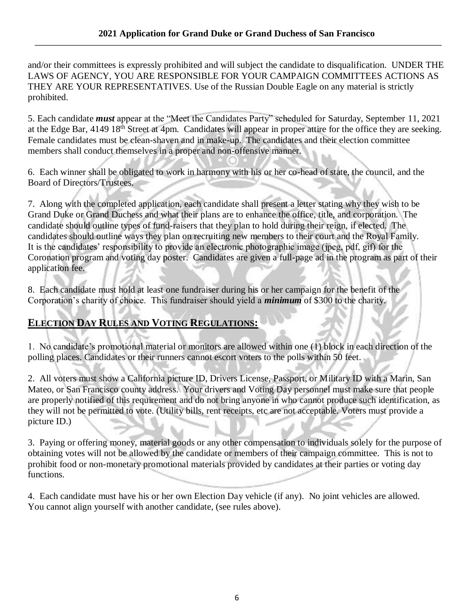and/or their committees is expressly prohibited and will subject the candidate to disqualification. UNDER THE LAWS OF AGENCY, YOU ARE RESPONSIBLE FOR YOUR CAMPAIGN COMMITTEES ACTIONS AS THEY ARE YOUR REPRESENTATIVES. Use of the Russian Double Eagle on any material is strictly prohibited.

5. Each candidate *must* appear at the "Meet the Candidates Party" scheduled for Saturday, September 11, 2021 at the Edge Bar, 4149 18<sup>th</sup> Street at 4pm. Candidates will appear in proper attire for the office they are seeking. Female candidates must be clean-shaven and in make-up. The candidates and their election committee members shall conduct themselves in a proper and non-offensive manner.

6. Each winner shall be obligated to work in harmony with his or her co-head of state, the council, and the Board of Directors/Trustees.

7. Along with the completed application, each candidate shall present a letter stating why they wish to be Grand Duke or Grand Duchess and what their plans are to enhance the office, title, and corporation. The candidate should outline types of fund-raisers that they plan to hold during their reign, if elected. The candidates should outline ways they plan on recruiting new members to their court and the Royal Family. It is the candidates' responsibility to provide an electronic photographic image (jpeg, pdf, gif) for the Coronation program and voting day poster. Candidates are given a full-page ad in the program as part of their application fee.

8. Each candidate must hold at least one fundraiser during his or her campaign for the benefit of the Corporation's charity of choice. This fundraiser should yield a *minimum* of \$300 to the charity.

# **ELECTION DAY RULES AND VOTING REGULATIONS:**

1. No candidate's promotional material or monitors are allowed within one (1) block in each direction of the polling places. Candidates or their runners cannot escort voters to the polls within 50 feet.

2. All voters must show a California picture ID, Drivers License, Passport, or Military ID with a Marin, San Mateo, or San Francisco county address. Your drivers and Voting Day personnel must make sure that people are properly notified of this requirement and do not bring anyone in who cannot produce such identification, as they will not be permitted to vote. (Utility bills, rent receipts, etc are not acceptable. Voters must provide a picture ID.)

3. Paying or offering money, material goods or any other compensation to individuals solely for the purpose of obtaining votes will not be allowed by the candidate or members of their campaign committee. This is not to prohibit food or non-monetary promotional materials provided by candidates at their parties or voting day functions.

4. Each candidate must have his or her own Election Day vehicle (if any). No joint vehicles are allowed. You cannot align yourself with another candidate, (see rules above).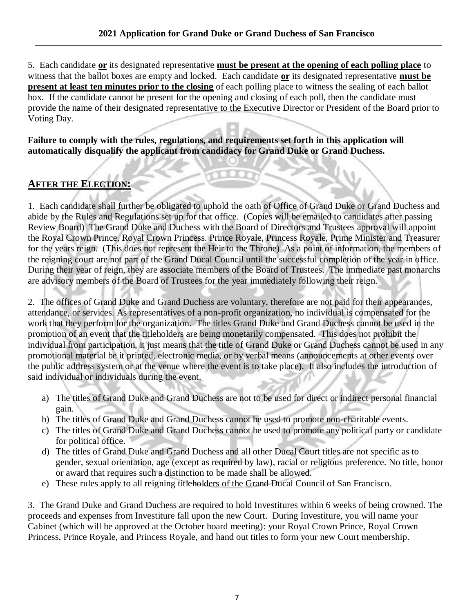5. Each candidate **or** its designated representative **must be present at the opening of each polling place** to witness that the ballot boxes are empty and locked. Each candidate **or** its designated representative **must be present at least ten minutes prior to the closing** of each polling place to witness the sealing of each ballot box. If the candidate cannot be present for the opening and closing of each poll, then the candidate must provide the name of their designated representative to the Executive Director or President of the Board prior to Voting Day.

**Failure to comply with the rules, regulations, and requirements set forth in this application will automatically disqualify the applicant from candidacy for Grand Duke or Grand Duchess.**

## **AFTER THE ELECTION:**

1. Each candidate shall further be obligated to uphold the oath of Office of Grand Duke or Grand Duchess and abide by the Rules and Regulations set up for that office. (Copies will be emailed to candidates after passing Review Board) The Grand Duke and Duchess with the Board of Directors and Trustees approval will appoint the Royal Crown Prince, Royal Crown Princess. Prince Royale, Princess Royale, Prime Minister and Treasurer for the years reign. (This does not represent the Heir to the Throne) As a point of information, the members of the reigning court are not part of the Grand Ducal Council until the successful completion of the year in office. During their year of reign, they are associate members of the Board of Trustees. The immediate past monarchs are advisory members of the Board of Trustees for the year immediately following their reign.

2. The offices of Grand Duke and Grand Duchess are voluntary, therefore are not paid for their appearances, attendance, or services. As representatives of a non-profit organization, no individual is compensated for the work that they perform for the organization. The titles Grand Duke and Grand Duchess cannot be used in the promotion of an event that the titleholders are being monetarily compensated. This does not prohibit the individual from participation, it just means that the title of Grand Duke or Grand Duchess cannot be used in any promotional material be it printed, electronic media, or by verbal means (announcements at other events over the public address system or at the venue where the event is to take place). It also includes the introduction of said individual or individuals during the event.

- a) The titles of Grand Duke and Grand Duchess are not to be used for direct or indirect personal financial gain.
- b) The titles of Grand Duke and Grand Duchess cannot be used to promote non-charitable events.
- c) The titles of Grand Duke and Grand Duchess cannot be used to promote any political party or candidate for political office.
- d) The titles of Grand Duke and Grand Duchess and all other Ducal Court titles are not specific as to gender, sexual orientation, age (except as required by law), racial or religious preference. No title, honor or award that requires such a distinction to be made shall be allowed.
- e) These rules apply to all reigning titleholders of the Grand Ducal Council of San Francisco.

3. The Grand Duke and Grand Duchess are required to hold Investitures within 6 weeks of being crowned. The proceeds and expenses from Investiture fall upon the new Court. During Investiture, you will name your Cabinet (which will be approved at the October board meeting): your Royal Crown Prince, Royal Crown Princess, Prince Royale, and Princess Royale, and hand out titles to form your new Court membership.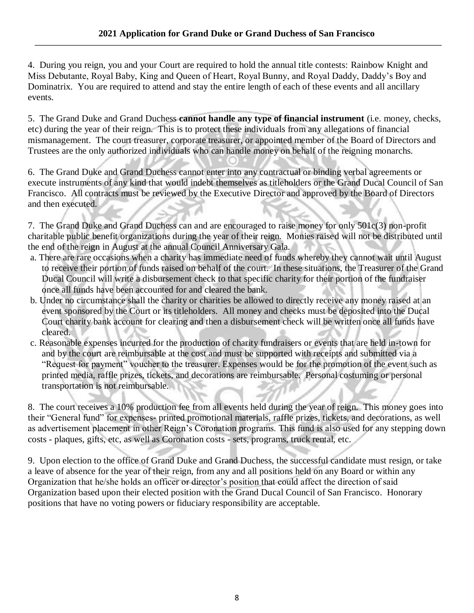4. During you reign, you and your Court are required to hold the annual title contests: Rainbow Knight and Miss Debutante, Royal Baby, King and Queen of Heart, Royal Bunny, and Royal Daddy, Daddy's Boy and Dominatrix. You are required to attend and stay the entire length of each of these events and all ancillary events.

5. The Grand Duke and Grand Duchess **cannot handle any type of financial instrument** (i.e. money, checks, etc) during the year of their reign. This is to protect these individuals from any allegations of financial mismanagement. The court treasurer, corporate treasurer, or appointed member of the Board of Directors and Trustees are the only authorized individuals who can handle money on behalf of the reigning monarchs.

6. The Grand Duke and Grand Duchess cannot enter into any contractual or binding verbal agreements or execute instruments of any kind that would indebt themselves as titleholders or the Grand Ducal Council of San Francisco. All contracts must be reviewed by the Executive Director and approved by the Board of Directors and then executed.

7. The Grand Duke and Grand Duchess can and are encouraged to raise money for only 501c(3) non-profit charitable public benefit organizations during the year of their reign. Monies raised will not be distributed until the end of the reign in August at the annual Council Anniversary Gala.

- a. There are rare occasions when a charity has immediate need of funds whereby they cannot wait until August to receive their portion of funds raised on behalf of the court. In these situations, the Treasurer of the Grand Ducal Council will write a disbursement check to that specific charity for their portion of the fundraiser once all funds have been accounted for and cleared the bank.
- b. Under no circumstance shall the charity or charities be allowed to directly receive any money raised at an event sponsored by the Court or its titleholders. All money and checks must be deposited into the Ducal Court charity bank account for clearing and then a disbursement check will be written once all funds have cleared.
- c. Reasonable expenses incurred for the production of charity fundraisers or events that are held in-town for and by the court are reimbursable at the cost and must be supported with receipts and submitted via a "Request for payment" voucher to the treasurer. Expenses would be for the promotion of the event such as printed media, raffle prizes, tickets, and decorations are reimbursable. Personal costuming or personal transportation is not reimbursable.

8. The court receives a 10% production fee from all events held during the year of reign. This money goes into their "General fund" for expenses- printed promotional materials, raffle prizes, tickets, and decorations, as well as advertisement placement in other Reign's Coronation programs. This fund is also used for any stepping down costs - plaques, gifts, etc, as well as Coronation costs - sets, programs, truck rental, etc.

9. Upon election to the office of Grand Duke and Grand Duchess, the successful candidate must resign, or take a leave of absence for the year of their reign, from any and all positions held on any Board or within any Organization that he/she holds an officer or director's position that could affect the direction of said Organization based upon their elected position with the Grand Ducal Council of San Francisco. Honorary positions that have no voting powers or fiduciary responsibility are acceptable.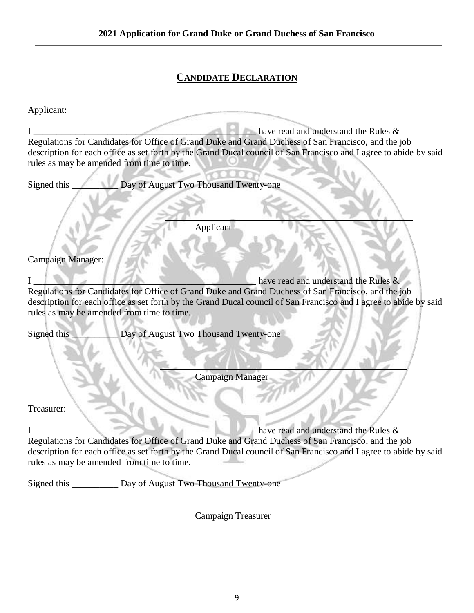# **CANDIDATE DECLARATION**

Applicant:

|                                            | $\blacksquare$ have read and understand the Rules &                                                               |
|--------------------------------------------|-------------------------------------------------------------------------------------------------------------------|
|                                            | Regulations for Candidates for Office of Grand Duke and Grand Duchess of San Francisco, and the job               |
|                                            | description for each office as set forth by the Grand Ducal council of San Francisco and I agree to abide by said |
| rules as may be amended from time to time. |                                                                                                                   |
|                                            |                                                                                                                   |
| Signed this                                | Day of August Two Thousand Twenty-one                                                                             |
|                                            | Applicant                                                                                                         |
| Campaign Manager:                          |                                                                                                                   |
|                                            | have read and understand the Rules &                                                                              |
|                                            | Regulations for Candidates for Office of Grand Duke and Grand Duchess of San Francisco, and the job               |
|                                            | description for each office as set forth by the Grand Ducal council of San Francisco and I agree to abide by said |
| rules as may be amended from time to time. |                                                                                                                   |
|                                            |                                                                                                                   |
| Signed this                                | Day of August Two Thousand Twenty-one                                                                             |
|                                            | Campaign Manager                                                                                                  |
|                                            |                                                                                                                   |
| Treasurer:                                 |                                                                                                                   |
|                                            | have read and understand the Rules $\&$                                                                           |
|                                            | Regulations for Candidates for Office of Grand Duke and Grand Duchess of San Francisco, and the job               |
|                                            | description for each office as set forth by the Grand Ducal council of San Francisco and I agree to abide by said |
| rules as may be amended from time to time. |                                                                                                                   |
|                                            |                                                                                                                   |
| Signed this                                | Day of August Two Thousand Twenty-one                                                                             |

Campaign Treasurer